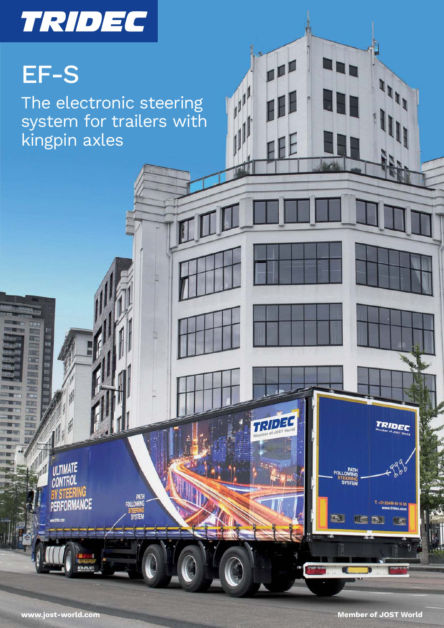# TRIDEC

## EF-S

The electronic steering system for trailers with kingpin axles

ULTIMATE

**CONTROL** 

**PERFORMANCE** 

PATH<br>FOLLOWING

**SYSTEM** 

三川

TRIDEC

99 49 10 5

信号

**PATH**<br>FOLLOWING

**TEERING** 

TRIDEC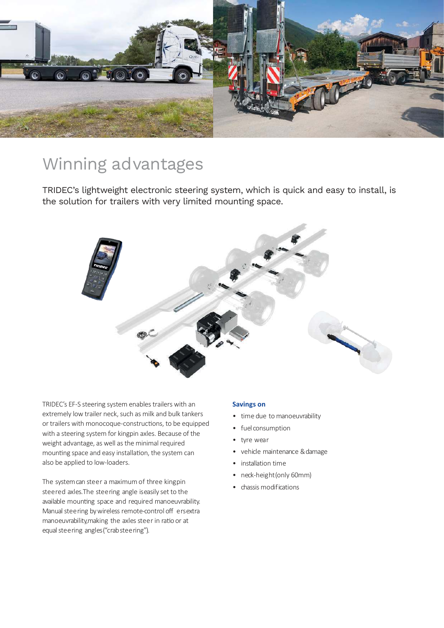

### Winning advantages

TRIDEC's lightweight electronic steering system, which is quick and easy to install, is the solution for trailers with very limited mounting space.



TRIDEC's EF-S steering system enables trailers with an extremely low trailer neck, such as milk and bulk tankers or trailers with monocoque-constructions, to be equipped with a steering system for kingpin axles. Because of the weight advantage, as well as the minimal required mounting space and easy installation, the system can also be applied to low-loaders.

The system can steer a maximum of three kingpin steered axles. The steering angle is easily set to the available mounting space and required manoeuvrability. Manual steering by wireless remote-control off ers extra manoeuvrability, making the axles steer in ratio or at equal steering angles ("crab steering").

#### **Savings on**

- time due to manoeuvrability
- fuel consumption
- tyre wear
- vehicle maintenance & damage
- installation time
- neck-height (only 60mm)
- chassis modifications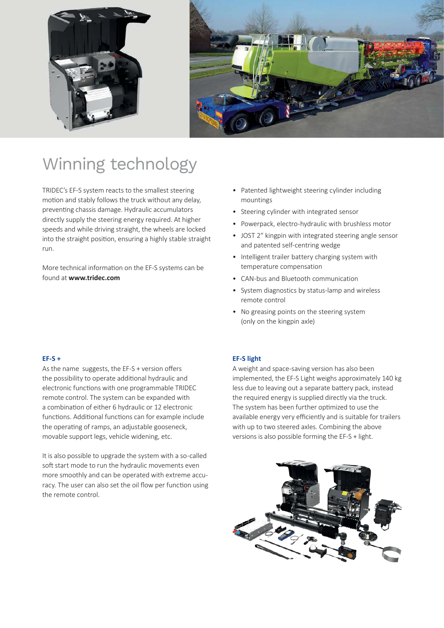



## Winning technology

TRIDEC's EF-S system reacts to the smallest steering motion and stably follows the truck without any delay, preventing chassis damage. Hydraulic accumulators directly supply the steering energy required. At higher speeds and while driving straight, the wheels are locked into the straight position, ensuring a highly stable straight run.

More technical information on the EF-S systems can be found at **www.tridec.com**

- Patented lightweight steering cylinder including mountings
- Steering cylinder with integrated sensor
- Powerpack, electro-hydraulic with brushless motor
- JOST 2" kingpin with integrated steering angle sensor and patented self-centring wedge
- Intelligent trailer battery charging system with temperature compensation
- CAN-bus and Bluetooth communication
- System diagnostics by status-lamp and wireless remote control
- No greasing points on the steering system (only on the kingpin axle)

#### **EF-S +**

As the name suggests, the EF-S + version offers the possibility to operate additional hydraulic and electronic functions with one programmable TRIDEC remote control. The system can be expanded with a combination of either 6 hydraulic or 12 electronic functions. Additional functions can for example include the operating of ramps, an adjustable gooseneck, movable support legs, vehicle widening, etc.

It is also possible to upgrade the system with a so-called soft start mode to run the hydraulic movements even more smoothly and can be operated with extreme accuracy. The user can also set the oil flow per function using the remote control.

#### **EF-S light**

A weight and space-saving version has also been implemented, the EF-S Light weighs approximately 140 kg less due to leaving out a separate battery pack, instead the required energy is supplied directly via the truck. The system has been further optimized to use the available energy very efficiently and is suitable for trailers with up to two steered axles. Combining the above versions is also possible forming the EF-S + light.